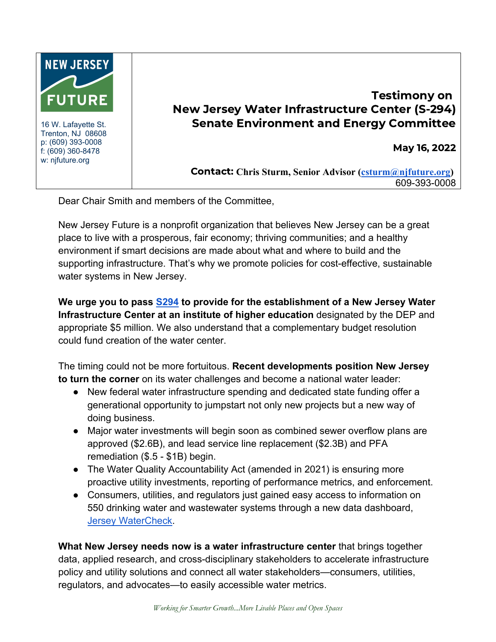

16 W. Lafayette St. Trenton, NJ 08608 p: (609) 393-0008 f: (609) 360-8478 w: njfuture.org

## Testimony on New Jersey Water Infrastructure Center (S-294) Senate Environment and Energy Committee

May 16, 2022

Contact: **Chris Sturm, Senior Advisor (csturm@njfuture.org)**  609-393-0008

Dear Chair Smith and members of the Committee,

New Jersey Future is a nonprofit organization that believes New Jersey can be a great place to live with a prosperous, fair economy; thriving communities; and a healthy environment if smart decisions are made about what and where to build and the supporting infrastructure. That's why we promote policies for cost-effective, sustainable water systems in New Jersey.

**We urge you to pass S294 to provide for the establishment of a New Jersey Water Infrastructure Center at an institute of higher education** designated by the DEP and appropriate \$5 million. We also understand that a complementary budget resolution could fund creation of the water center.

The timing could not be more fortuitous. **Recent developments position New Jersey to turn the corner** on its water challenges and become a national water leader:

- New federal water infrastructure spending and dedicated state funding offer a generational opportunity to jumpstart not only new projects but a new way of doing business.
- Major water investments will begin soon as combined sewer overflow plans are approved (\$2.6B), and lead service line replacement (\$2.3B) and PFA remediation (\$.5 - \$1B) begin.
- The Water Quality Accountability Act (amended in 2021) is ensuring more proactive utility investments, reporting of performance metrics, and enforcement.
- Consumers, utilities, and regulators just gained easy access to information on 550 drinking water and wastewater systems through a new data dashboard, Jersey WaterCheck.

**What New Jersey needs now is a water infrastructure center** that brings together data, applied research, and cross-disciplinary stakeholders to accelerate infrastructure policy and utility solutions and connect all water stakeholders—consumers, utilities, regulators, and advocates—to easily accessible water metrics.